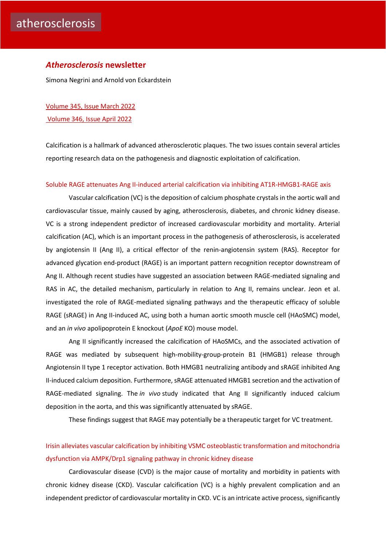### *Atherosclerosis* **newsletter**

Simona Negrini and Arnold von Eckardstein

[Volume 345, Issue March](https://www.atherosclerosis-journal.com/issue/S0021-9150(22)X0004-X) 2022 [Volume 346, Issue April 2022](https://www.atherosclerosis-journal.com/issue/S0021-9150(22)X0005-1)

Calcification is a hallmark of advanced atherosclerotic plaques. The two issues contain several articles reporting research data on the pathogenesis and diagnostic exploitation of calcification.

#### [Soluble RAGE attenuates Ang II-induced arterial calcification via inhibiting AT1R-HMGB1-RAGE axis](https://click.notification.elsevier.com/CL0/https:%2F%2Fwww.atherosclerosis-journal.com%2Farticle%2FS0021-9150(22)00102-2%2Ffulltext%3Fdgcid=raven_jbs_etoc_email/1/0100017fc44e4c46-7eedd4f9-acaa-40f2-a9ae-28e4d63f25ef-000000/FWsDYJCUM5zOiKXjplSBQi0LvoILljEh_UCoIB8OsHA=242)

Vascular calcification (VC) is the deposition of calcium phosphate crystals in the aortic wall and cardiovascular tissue, mainly caused by aging, atherosclerosis, diabetes, and chronic kidney disease. VC is a strong independent predictor of increased cardiovascular morbidity and mortality. Arterial calcification (AC), which is an important process in the pathogenesis of atherosclerosis, is accelerated by angiotensin II (Ang II), a critical effector of the renin-angiotensin system (RAS). Receptor for advanced glycation end-product (RAGE) is an important pattern recognition receptor downstream of Ang II. Although recent studies have suggested an association between RAGE-mediated signaling and RAS in AC, the detailed mechanism, particularly in relation to Ang II, remains unclear. Jeon et al. investigated the role of RAGE-mediated signaling pathways and the therapeutic efficacy of soluble RAGE (sRAGE) in Ang II-induced AC, using both a human aortic smooth muscle cell (HAoSMC) model, and an *in vivo* apolipoprotein E knockout (*ApoE* KO) mouse model.

Ang II significantly increased the calcification of HAoSMCs, and the associated activation of RAGE was mediated by subsequent high-mobility-group-protein B1 (HMGB1) release through Angiotensin II type 1 receptor activation. Both HMGB1 neutralizing antibody and sRAGE inhibited Ang II-induced calcium deposition. Furthermore, sRAGE attenuated HMGB1 secretion and the activation of RAGE-mediated signaling. The *in vivo* study indicated that Ang II significantly induced calcium deposition in the aorta, and this was significantly attenuated by sRAGE.

These findings suggest that RAGE may potentially be a therapeutic target for VC treatment.

# [Irisin alleviates vascular calcification by inhibiting VSMC osteoblastic transformation](https://click.notification.elsevier.com/CL0/https:%2F%2Fwww.atherosclerosis-journal.com%2Farticle%2FS0021-9150(22)00076-4%2Ffulltext%3Fdgcid=raven_jbs_etoc_email/1/0100017fc44e4c46-7eedd4f9-acaa-40f2-a9ae-28e4d63f25ef-000000/7LvpiocIlAP9UYOm1rcX2-cMTvORfpyEdJHB6xK7gpM=242) and mitochondria [dysfunction via AMPK/Drp1 signaling pathway in chronic kidney disease](https://click.notification.elsevier.com/CL0/https:%2F%2Fwww.atherosclerosis-journal.com%2Farticle%2FS0021-9150(22)00076-4%2Ffulltext%3Fdgcid=raven_jbs_etoc_email/1/0100017fc44e4c46-7eedd4f9-acaa-40f2-a9ae-28e4d63f25ef-000000/7LvpiocIlAP9UYOm1rcX2-cMTvORfpyEdJHB6xK7gpM=242)

Cardiovascular disease (CVD) is the major cause of mortality and morbidity in patients with chronic kidney disease (CKD). Vascular calcification (VC) is a highly prevalent complication and an independent predictor of cardiovascular mortality in CKD. VC is an intricate active process, significantly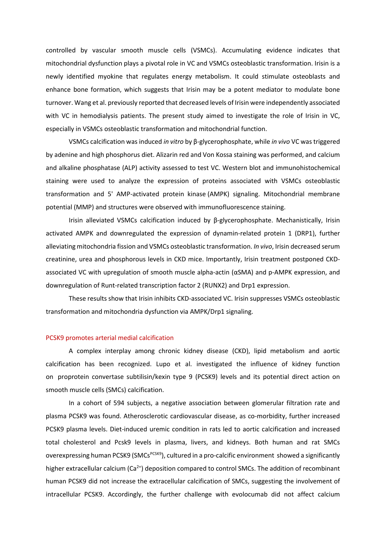controlled by vascular smooth muscle cells (VSMCs). Accumulating evidence indicates that mitochondrial dysfunction plays a pivotal role in VC and VSMCs osteoblastic transformation. Irisin is a newly identified myokine that regulates energy metabolism. It could stimulate osteoblasts and enhance bone formation, which suggests that Irisin may be a potent mediator to modulate bone turnover. Wang et al. previously reported that decreased levels of Irisin were independently associated with VC in hemodialysis patients. The present study aimed to investigate the role of Irisin in VC, especially in VSMCs osteoblastic transformation and mitochondrial function.

VSMCs calcification was induced *in vitro* by β‐glycerophosphate, while *in vivo* VC was triggered by adenine and high phosphorus diet. Alizarin red and Von Kossa staining was performed, and calcium and alkaline phosphatase (ALP) activity assessed to test VC. Western blot and immunohistochemical staining were used to analyze the expression of proteins associated with VSMCs osteoblastic transformation and 5' AMP-activated protein kinase (AMPK) signaling. Mitochondrial membrane potential (MMP) and structures were observed with immunofluorescence staining.

Irisin alleviated VSMCs calcification induced by β‐glycerophosphate. Mechanistically, Irisin activated AMPK and downregulated the expression of dynamin-related protein 1 (DRP1), further alleviating mitochondria fission and VSMCs osteoblastic transformation. *In vivo*, Irisin decreased serum creatinine, urea and phosphorous levels in CKD mice. Importantly, Irisin treatment postponed CKDassociated VC with upregulation of smooth muscle alpha-actin (αSMA) and p-AMPK expression, and downregulation of Runt-related transcription factor 2 (RUNX2) and Drp1 expression.

These results show that Irisin inhibits CKD-associated VC. Irisin suppresses VSMCs osteoblastic transformation and mitochondria dysfunction via AMPK/Drp1 signaling.

#### [PCSK9 promotes arterial medial calcification](https://click.notification.elsevier.com/CL0/https:%2F%2Fwww.atherosclerosis-journal.com%2Farticle%2FS0021-9150(22)00029-6%2Ffulltext%3Fdgcid=raven_jbs_etoc_email/1/0100017fc44e4c46-7eedd4f9-acaa-40f2-a9ae-28e4d63f25ef-000000/D2uNCLh845kai73OsTk11a8tLnhzxpwwPg0EXuIiFbI=242)

A complex interplay among chronic kidney disease (CKD), lipid metabolism and aortic calcification has been recognized. Lupo et al. investigated the influence of kidney function on proprotein convertase subtilisin/kexin type 9 (PCSK9) levels and its potential direct action on smooth muscle cells (SMCs) calcification.

In a cohort of 594 subjects, a negative association between glomerular filtration rate and plasma PCSK9 was found. Atherosclerotic cardiovascular disease, as co-morbidity, further increased PCSK9 plasma levels. Diet-induced uremic condition in rats led to aortic calcification and increased total cholesterol and Pcsk9 levels in plasma, livers, and kidneys. Both human and rat SMCs overexpressing human PCSK9 (SMCs<sup>PCSK9</sup>), cultured in a pro-calcific environment showed a significantly higher extracellular calcium  $(Ca^{2+})$  deposition compared to control SMCs. The addition of recombinant human PCSK9 did not increase the extracellular calcification of SMCs, suggesting the involvement of intracellular PCSK9. Accordingly, the further challenge with evolocumab did not affect calcium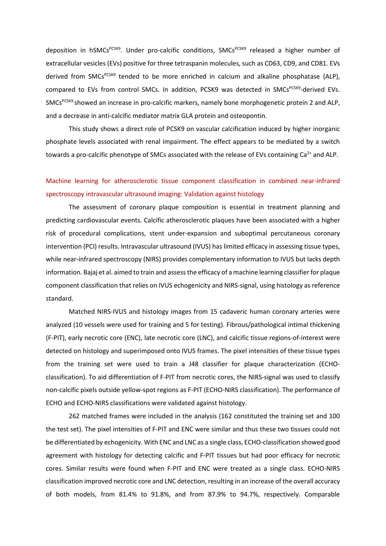deposition in hSMCs<sup>PCSK9</sup>. Under pro-calcific conditions, SMCs<sup>PCSK9</sup> released a higher number of extracellular vesicles (EVs) positive for three tetraspanin molecules, such as CD63, CD9, and CD81. EVs derived from SMCs<sup>PCSK9</sup> tended to be more enriched in calcium and alkaline phosphatase (ALP), compared to EVs from control SMCs. In addition, PCSK9 was detected in SMCs<sup>PCSK9</sup>-derived EVs. SMCs<sup>PCSK9</sup> showed an increase in pro-calcific markers, namely bone morphogenetic protein 2 and ALP, and a decrease in anti-calcific mediator matrix GLA protein and osteopontin.

This study shows a direct role of PCSK9 on vascular calcification induced by higher inorganic phosphate levels associated with renal impairment. The effect appears to be mediated by a switch towards a pro-calcific phenotype of SMCs associated with the release of EVs containing  $Ca<sup>2+</sup>$  and ALP.

# [Machine learning for atherosclerotic tissue component classification in combined near-infrared](https://click.notification.elsevier.com/CL0/https:%2F%2Fwww.atherosclerosis-journal.com%2Farticle%2FS0021-9150(22)00053-3%2Ffulltext%3Fdgcid=raven_jbs_etoc_email/1/0100017f76ae2511-bbea2f12-532c-4637-be04-858161ed0f4e-000000/znUs2ajG1FfdJEiidcaxnFDJYBEXYLvxmxAI3QM-oqI=240)  [spectroscopy intravascular ultrasound imaging: Validation against histology](https://click.notification.elsevier.com/CL0/https:%2F%2Fwww.atherosclerosis-journal.com%2Farticle%2FS0021-9150(22)00053-3%2Ffulltext%3Fdgcid=raven_jbs_etoc_email/1/0100017f76ae2511-bbea2f12-532c-4637-be04-858161ed0f4e-000000/znUs2ajG1FfdJEiidcaxnFDJYBEXYLvxmxAI3QM-oqI=240)

The assessment of coronary plaque composition is essential in treatment planning and predicting cardiovascular events. Calcific atherosclerotic plaques have been associated with a higher risk of procedural complications, stent under-expansion and suboptimal percutaneous coronary intervention (PCI) results. Intravascular ultrasound (IVUS) has limited efficacy in assessing tissue types, while near-infrared spectroscopy (NIRS) provides complementary information to IVUS but lacks depth information. Bajaj et al. aimed to train and assess the efficacy of a machine learning classifier for plaque component classification that relies on IVUS echogenicity and NIRS-signal, using histology as reference standard.

Matched NIRS-IVUS and histology images from 15 cadaveric human coronary arteries were analyzed (10 vessels were used for training and 5 for testing). Fibrous/pathological intimal thickening (F-PIT), early necrotic core (ENC), late necrotic core (LNC), and calcific tissue regions-of-interest were detected on histology and superimposed onto IVUS frames. The pixel intensities of these tissue types from the training set were used to train a J48 classifier for plaque characterization (ECHOclassification). To aid differentiation of F-PIT from necrotic cores, the NIRS-signal was used to classify non-calcific pixels outside yellow-spot regions as F-PIT (ECHO-NIRS classification). The performance of ECHO and ECHO-NIRS classifications were validated against histology.

262 matched frames were included in the analysis (162 constituted the training set and 100 the test set). The pixel intensities of F-PIT and ENC were similar and thus these two tissues could not be differentiated by echogenicity. With ENC and LNC as a single class, ECHO-classification showed good agreement with histology for detecting calcific and F-PIT tissues but had poor efficacy for necrotic cores. Similar results were found when F-PIT and ENC were treated as a single class. ECHO-NIRS classification improved necrotic core and LNC detection, resulting in an increase of the overall accuracy of both models, from 81.4% to 91.8%, and from 87.9% to 94.7%, respectively. Comparable